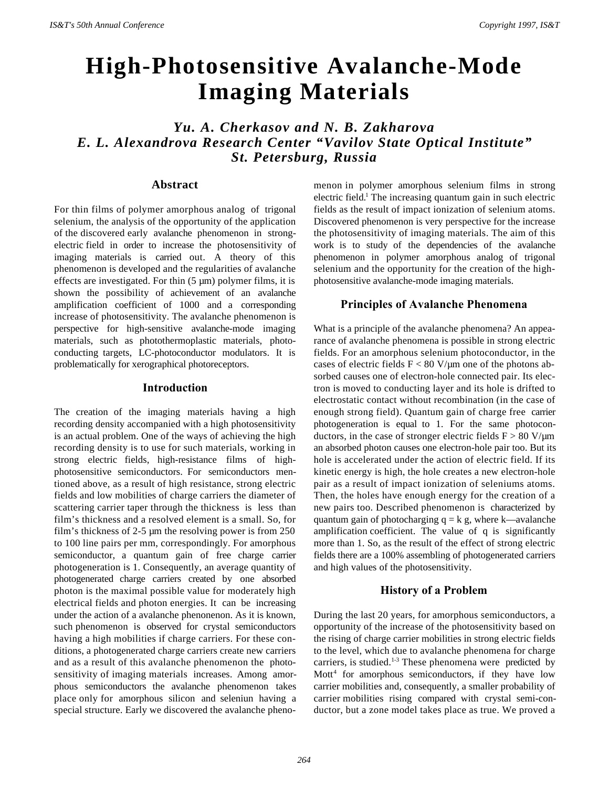# **High-Photosensitive Avalanche-Mode Imaging Materials**

# *Yu. A. Cherkasov and N. B. Zakharova E. L. Alexandrova Research Center "Vavilov State Optical Institute" St. Petersburg, Russia*

### **Abstract**

For thin films of polymer amorphous analog of trigonal selenium, the analysis of the opportunity of the application of the discovered early avalanche phenomenon in strongelectric field in order to increase the photosensitivity of imaging materials is carried out. A theory of this phenomenon is developed and the regularities of avalanche effects are investigated. For thin (5 µm) polymer films, it is shown the possibility of achievement of an avalanche amplification coefficient of 1000 and a corresponding increase of photosensitivity. The avalanche phenomenon is perspective for high-sensitive avalanche-mode imaging materials, such as photothermoplastic materials, photoconducting targets, LC-photoconductor modulators. It is problematically for xerographical photoreceptors.

#### **Introduction**

The creation of the imaging materials having a high recording density accompanied with a high photosensitivity is an actual problem. One of the ways of achieving the high recording density is to use for such materials, working in strong electric fields, high-resistance films of highphotosensitive semiconductors. For semiconductors mentioned above, as a result of high resistance, strong electric fields and low mobilities of charge carriers the diameter of scattering carrier taper through the thickness is less than film's thickness and a resolved element is a small. So, for film's thickness of 2-5 µm the resolving power is from 250 to 100 line pairs per mm, correspondingly. For amorphous semiconductor, a quantum gain of free charge carrier photogeneration is 1. Consequently, an average quantity of photogenerated charge carriers created by one absorbed photon is the maximal possible value for moderately high electrical fields and photon energies. It can be increasing under the action of a avalanche phenonenon. As it is known, such phenomenon is observed for crystal semiconductors having a high mobilities if charge carriers. For these conditions, a photogenerated charge carriers create new carriers and as a result of this avalanche phenomenon the photosensitivity of imaging materials increases. Among amorphous semiconductors the avalanche phenomenon takes place only for amorphous silicon and seleniun having a special structure. Early we discovered the avalanche phenomenon in polymer amorphous selenium films in strong electric field.<sup>1</sup> The increasing quantum gain in such electric fields as the result of impact ionization of selenium atoms. Discovered phenomenon is very perspective for the increase the photosensitivity of imaging materials. The aim of this work is to study of the dependencies of the avalanche phenomenon in polymer amorphous analog of trigonal selenium and the opportunity for the creation of the highphotosensitive avalanche-mode imaging materials.

#### **Principles of Avalanche Phenomena**

What is a principle of the avalanche phenomena? An appearance of avalanche phenomena is possible in strong electric fields. For an amorphous selenium photoconductor, in the cases of electric fields  $F < 80$  V/ $\mu$ m one of the photons absorbed causes one of electron-hole connected pair. Its electron is moved to conducting layer and its hole is drifted to electrostatic contact without recombination (in the case of enough strong field). Quantum gain of charge free carrier photogeneration is equal to 1. For the same photoconductors, in the case of stronger electric fields  $F > 80$  V/ $\mu$ m an absorbed photon causes one electron-hole pair too. But its hole is accelerated under the action of electric field. If its kinetic energy is high, the hole creates a new electron-hole pair as a result of impact ionization of seleniums atoms. Then, the holes have enough energy for the creation of a new pairs too. Described phenomenon is characterized by quantum gain of photocharging  $q = k$  g, where k—avalanche amplification coefficient. The value of q is significantly more than 1. So, as the result of the effect of strong electric fields there are a 100% assembling of photogenerated carriers and high values of the photosensitivity.

#### **History of a Problem**

During the last 20 years, for amorphous semiconductors, a opportunity of the increase of the photosensitivity based on the rising of charge carrier mobilities in strong electric fields to the level, which due to avalanche phenomena for charge carriers, is studied.<sup>1-3</sup> These phenomena were predicted by Mott<sup>4</sup> for amorphous semiconductors, if they have low carrier mobilities and, consequently, a smaller probability of carrier mobilities rising compared with crystal semi-conductor, but a zone model takes place as true. We proved a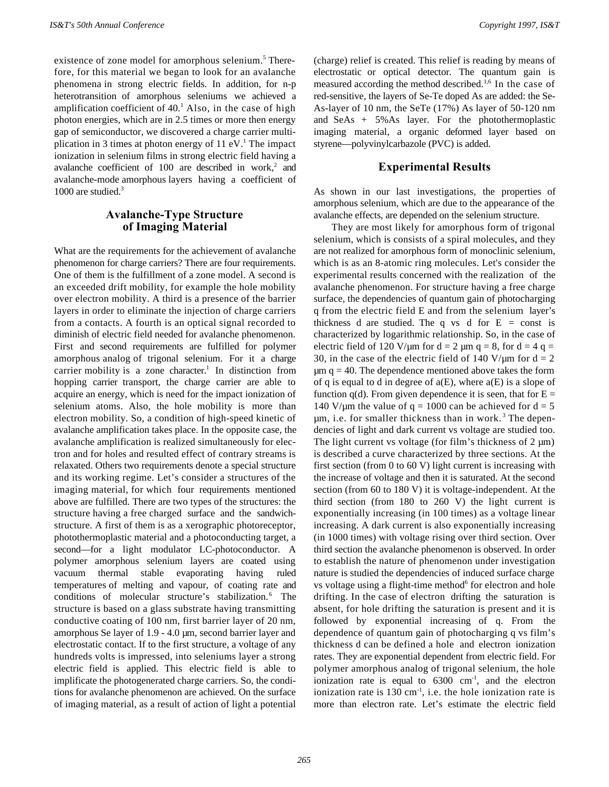existence of zone model for amorphous selenium.<sup>5</sup> Therefore, for this material we began to look for an avalanche phenomena in strong electric fields. In addition, for n-p heterotransition of amorphous seleniums we achieved a amplification coefficient of  $40<sup>1</sup>$  Also, in the case of high photon energies, which are in 2.5 times or more then energy gap of semiconductor, we discovered a charge carrier multiplication in 3 times at photon energy of 11 eV.<sup>1</sup> The impact ionization in selenium films in strong electric field having a avalanche coefficient of 100 are described in work,<sup>2</sup> and avalanche-mode amorphous layers having a coefficient of 1000 are studied.<sup>3</sup>

### **Avalanche-Type Structure of Imaging Material**

What are the requirements for the achievement of avalanche phenomenon for charge carriers? There are four requirements. One of them is the fulfillment of a zone model. A second is an exceeded drift mobility, for example the hole mobility over electron mobility. A third is a presence of the barrier layers in order to eliminate the injection of charge carriers from a contacts. A fourth is an optical signal recorded to diminish of electric field needed for avalanche phenomenon. First and second requirements are fulfilled for polymer amorphous analog of trigonal selenium. For it a charge carrier mobility is a zone character.<sup>1</sup> In distinction from hopping carrier transport, the charge carrier are able to acquire an energy, which is need for the impact ionization of selenium atoms. Also, the hole mobility is more than electron mobility. So, a condition of high-speed kinetic of avalanche amplification takes place. In the opposite case, the avalanche amplification is realized simultaneously for electron and for holes and resulted effect of contrary streams is relaxated. Others two requirements denote a special structure and its working regime. Let's consider a structures of the imaging material, for which four requirements mentioned above are fulfilled. There are two types of the structures: the structure having a free charged surface and the sandwichstructure. A first of them is as a xerographic photoreceptor, photothermoplastic material and a photoconducting target, a second—for a light modulator LC-photoconductor. A polymer amorphous selenium layers are coated using vacuum thermal stable evaporating having ruled temperatures of melting and vapour, of coating rate and conditions of molecular structure's stabilization.<sup>6</sup> The structure is based on a glass substrate having transmitting conductive coating of 100 nm, first barrier layer of 20 nm, amorphous Se layer of 1.9 - 4.0 µm, second barrier layer and electrostatic contact. If to the first structure, a voltage of any hundreds volts is impressed, into seleniums layer a strong electric field is applied. This electric field is able to implificate the photogenerated charge carriers. So, the conditions for avalanche phenomenon are achieved. On the surface of imaging material, as a result of action of light a potential

(charge) relief is created. This relief is reading by means of electrostatic or optical detector. The quantum gain is measured according the method described.<sup>1,6</sup> In the case of red-sensitive, the layers of Se-Te doped As are added: the Se-As-layer of 10 nm, the SeTe (17%) As layer of 50-120 nm and SeAs + 5%As layer. For the photothermoplastic imaging material, a organic deformed layer based on styrene—polyvinylcarbazole (PVC) is added.

#### **Experimental Results**

As shown in our last investigations, the properties of amorphous selenium, which are due to the appearance of the avalanche effects, are depended on the selenium structure.

They are most likely for amorphous form of trigonal selenium, which is consists of a spiral molecules, and they are not realized for amorphous form of monoclinic selenium, which is as an 8-atomic ring molecules. Let's consider the experimental results concerned with the realization of the avalanche phenomenon. For structure having a free charge surface, the dependencies of quantum gain of photocharging q from the electric field E and from the selenium layer's thickness d are studied. The q vs d for  $E = const$  is characterized by logarithmic relationship. So, in the case of electric field of 120 V/ $\mu$ m for d = 2  $\mu$ m q = 8, for d = 4 q = 30, in the case of the electric field of 140 V/ $\mu$ m for d = 2  $\mu$ m q = 40. The dependence mentioned above takes the form of q is equal to d in degree of  $a(E)$ , where  $a(E)$  is a slope of function  $q(d)$ . From given dependence it is seen, that for  $E =$ 140 V/um the value of  $q = 1000$  can be achieved for  $d = 5$ µm, i.e. for smaller thickness than in work. <sup>3</sup> The dependencies of light and dark current vs voltage are studied too. The light current vs voltage (for film's thickness of  $2 \mu m$ ) is described a curve characterized by three sections. At the first section (from 0 to 60 V) light current is increasing with the increase of voltage and then it is saturated. At the second section (from 60 to 180 V) it is voltage-independent. At the third section (from 180 to 260 V) the light current is exponentially increasing (in 100 times) as a voltage linear increasing. A dark current is also exponentially increasing (in 1000 times) with voltage rising over third section. Over third section the avalanche phenomenon is observed. In order to establish the nature of phenomenon under investigation nature is studied the dependencies of induced surface charge vs voltage using a flight-time method<sup>6</sup> for electron and hole drifting. In the case of electron drifting the saturation is absent, for hole drifting the saturation is present and it is followed by exponential increasing of q. From the dependence of quantum gain of photocharging q vs film's thickness d can be defined a hole and electron ionization rates. They are exponential dependent from electric field. For polymer amorphous analog of trigonal selenium, the hole ionization rate is equal to  $6300 \text{ cm}^{-1}$ , and the electron ionization rate is  $130 \text{ cm}^3$ , i.e. the hole ionization rate is more than electron rate. Let's estimate the electric field